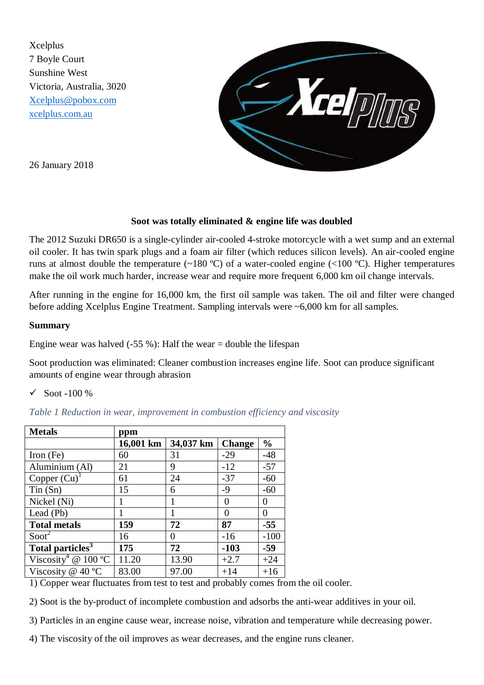Xcelplus 7 Boyle Court Sunshine West Victoria, Australia, 3020 [Xcelplus@pobox.com](mailto:Xcelplus@pobox.com) [xcelplus.com.au](http://www.xcelplus.com.au/) 



26 January 2018

## **Soot was totally eliminated & engine life was doubled**

The 2012 Suzuki DR650 is a single-cylinder air-cooled 4-stroke motorcycle with a wet sump and an external oil cooler. It has twin spark plugs and a foam air filter (which reduces silicon levels). An air-cooled engine runs at almost double the temperature (~180 °C) of a water-cooled engine (<100 °C). Higher temperatures make the oil work much harder, increase wear and require more frequent 6,000 km oil change intervals.

After running in the engine for 16,000 km, the first oil sample was taken. The oil and filter were changed before adding Xcelplus Engine Treatment. Sampling intervals were ~6,000 km for all samples.

## **Summary**

Engine wear was halved  $(-55\%)$ : Half the wear = double the lifespan

Soot production was eliminated: Cleaner combustion increases engine life. Soot can produce significant amounts of engine wear through abrasion

 $\checkmark$  Soot -100 %

*Table 1 Reduction in wear, improvement in combustion efficiency and viscosity*

| <b>Metals</b>                   | ppm       |           |               |               |
|---------------------------------|-----------|-----------|---------------|---------------|
|                                 | 16,001 km | 34,037 km | <b>Change</b> | $\frac{6}{9}$ |
| Iron $(Fe)$                     | 60        | 31        | $-29$         | $-48$         |
| Aluminium (Al)                  | 21        | 9         | $-12$         | $-57$         |
| Copper $(Cu)^T$                 | 61        | 24        | $-37$         | $-60$         |
| $T$ in $(Sn)$                   | 15        | 6         | $-9$          | $-60$         |
| Nickel (Ni)                     |           | 1         | 0             | 0             |
| Lead (Pb)                       |           |           | 0             | $\theta$      |
| <b>Total metals</b>             | 159       | 72        | 87            | $-55$         |
| Soot <sup>2</sup>               | 16        | 0         | $-16$         | $-100$        |
| Total particles <sup>3</sup>    | 175       | 72        | $-103$        | $-59$         |
| Viscosity <sup>4</sup> @ 100 °C | 11.20     | 13.90     | $+2.7$        | $+24$         |
| Viscosity @ 40 $^{\circ}$ C     | 83.00     | 97.00     | $+14$         | $+16$         |

1) Copper wear fluctuates from test to test and probably comes from the oil cooler.

2) Soot is the by-product of incomplete combustion and adsorbs the anti-wear additives in your oil.

3) Particles in an engine cause wear, increase noise, vibration and temperature while decreasing power.

4) The viscosity of the oil improves as wear decreases, and the engine runs cleaner.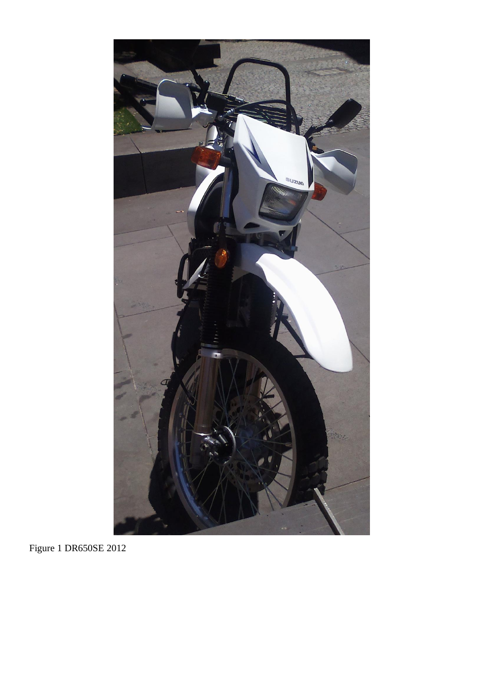

Figure 1 DR650SE 2012